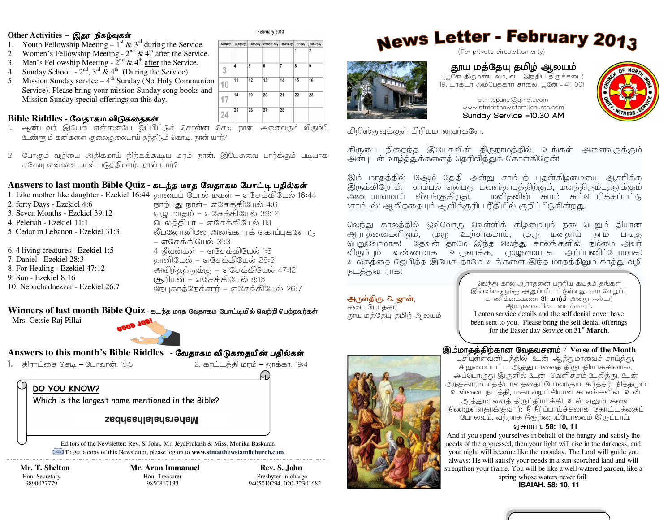### $\begin{array}{c} \text{Other Activities}-\text{Q}\text{Br}\ \text{B}\text{Br} \text{D}\text{A}\text{Br} \end{array}$

- 1. Youth Fellowship Meeting  $1^{st}$  &  $3^{rd}$  during the Service.
- 2. Women's Fellowship Meeting  $2<sup>nd</sup>$  & 4<sup>th</sup> after the Service.
- 3. Men's Fellowship Meeting  $2<sup>nd</sup>$  & 4<sup>th</sup> after the Service.
- 4. Sunday School  $2<sup>nd</sup>$ ,  $3<sup>rd</sup>$  &  $4<sup>th</sup>$  (During the Service)
- 5. Mission Sunday service  $-4<sup>th</sup>$  Sunday (No Holy Communion Service). Please bring your mission Sunday song books and Mission Sunday special offerings on this day.

## **Bible Riddles -** ேவதாகம விᾌகைதக῀

- 1. ஆண்டவர் இயேசு என்னையே ஒப்பிட்டுச் சொன்ன செடி நான். அனைவரும் விரும்பி உண்ணும் கனிகளை குலைகுலையாய் தந்திடும் கொடி. நான் யார்?
- 2. போகும் வழியை அதிகமாய் நிற்கக்கூடிய மரம் நான். இயேசுவை பார்க்கும் படியாக சகேயு என்னை பயன் படுத்தினார். நான் யார்?

## Answers to last month Bible Quiz - கடந்த மாத வேதாகம போட்டி பதில்கள்<br>1. Like mether like deventor, Easkiel 16:44, சாயைப் போல் மா*ன் . எதோர் பியே*ல் 16:

- 1. Like mother like daughter Ezekiel 16:44 தாயைப் போல் மகள் எசேக்கியேல் 16:44
- 2. forty Days Ezekiel 4:6 3. Seven Months - Ezekiel 39:12 4. Peletiah - Ezekiel 11:1 5. Cedar in Lebanon - Ezekiel 31:3 6. 4 living creatures - Ezekiel 1:5 7. Daniel - Ezekiel 28:3 8. For Healing - Ezekiel 47:12 9. Sun - Ezekiel 8:16 10. Nebuchadnezzar - Ezekiel 26:7நாற்பது நாள்– எசேக்கியேல் 4:6  $G$ ரும் மாகம் – எசேக்கியேல் 39:12

பெலத்தியா – எசேக்கியேல் 11:1 லீபனோனிலே அலங்காரக் கொப்புகளோடு – எசேக்கியேல் 31:3 4 ஜீவன்கள் – எசேக்கியேல் 1:5 தானியேல் – எசேக்கியேல் 28:3 அவிழ்தத்துக்கு – எசேக்கியேல் 47:12  $(\sigma_{\rm b}$ ரியன் – எசேக்கியேல் 8:16 நேபுகாத்நேச்சார் – எசேக்கியேல் 26:7

## $\bf{W}$ **inners of last month Bible Quiz** - கடந்த மாத வேதாகம போட்டியில் வெற்றி பெற்றவர்கள்<br>— Mac Gatric Dei Billei

Mrs. Getsie Raj Pillai



# **Answers to this month's Bible Riddles -** ேவதாகம விᾌகைதயிᾹ பதி᾿க῀

1. ;E\*% )()+– \*\*.15:52.3\*%G;@E/

2. காட்டத்தி மரம் – லூக்கா. 19:4

**DO YOU KNOW?**

Which is the largest name mentioned in the Bible?

#### **Mahershalalhashbaz**

Editors of the Newsletter: Rev. S. John, Mr. JeyaPrakash & Miss. Monika Baskaran To get a copy of this Newsletter, please log on to **www.stmatthewstamilchurch.com** 

 **Mr. T. Shelton Mr. Arun Immanuel Rev. S. John** Hon. Secretary **Hon. Treasurer** Presbyter-in-charge

9890027779 9850817133 9405010294, 020-32301682

# News Letter - February 2013



## தூய மத்தேயு தமிழ் ஆலயம்

(பூனே திருமண்டலம், வட இந்திய திருச்சபை) 19, டாக்டர் அம்பேத்கார் சாலை, பூனே – 411 001<br>.



stmtcpune@gmail.com www.stmatthewstamilchurch.comSunday Service –10.30 AM

கிறிஸ்துவுக்குள் பிரியமானவர்களே,

கிருபை நிறைந்த இயேசுவின் திருநாமத்தில், உங்கள் அனைவருக்கும்<br>அன்படன்வாம்க்குக்களைக் கெரிவிக்குக் கொள்கிறேன்! அன்புடன் வாழ்த்துக்களைத் தெரிவித்துக் கொள்கிறேன்!<br>-

இம் மாதத்தில் 13ஆம் தேதி அன்று சாம்பற் புதன்கிழமையை ஆசரிக்க .<br>இருக்கிறோம். சாம்பல் என்பது மன்ஸ்தாபத்திற்கும், மனந்திரும்புதலுக்கும்<br>அடையாளமாய் விளங்குகிறது. மனிதனின் சுயம் சுட்டெரிக்கப்பட்டு மனிதனின் சுயம் சுட்டெரிக்கப்பட்டு 'சாம்பல்' ஆகிறதையும் ஆவிக்குரிய ரீதியில் குறிப்பிடுகின்றது.

லெந்து காலத்தில் ஒவ்வொரு வெள்ளிக் கிழமையும் நடைபெறும் தியான ஆராதனைகளிலும், முழு உற்சாகமாய், முழு மனதாய் நாம் பங்கு (>t\*@\*3! 9 9\*@ :9 (7:N 3\*7S3{H, ,/ @ - விரும்பும் வண்ணமாக உருவாக்க, முழுமையாக அர்ப்பணிப்போமாக! உலகத்தை ஜெயித்த இயேசு தாமே உங்களை இந்த மாதத்திலும் காத்து வழி நடத்துவாராக!

அருள்திரு. S. ஜான், சபை போககர் தூய மத்தேயு தமிழ் ஆலயம்

லெந்து கால ஆராதனை பற்றிய கடிதம் தங்கள் இல்லங்களுக்கு அனுப்பப் பட்டுள்ளது. சுய வெறுப்பு காணிக்கைகளை 31-மார்ச் அன்று ஈஸ்டர் ஆராகனையில் படைக்கவம். Lenten service details and the self denial cover have been sent to you. Please bring the self denial offerings for the Easter day Service on **31st March**.

## <u>இம்மாதத்திற்கான வேதவசனம் / Verse of the Month </u><br>பரியக்கலலிடத்தில் இன் இந்நாளலர் சங்க்கட

பசியள்ளவனிடக்கில் உன் ஆக்குமாவைச் சாய்க்கு. பசியுள்ளவனிடத்தில் உன் ஆத்துமாவைச் சாய்த்து,<br>சிறுமைப்பட்ட ஆத்துமாவைத் திருப்தியாக்கினால், அப்பொழுது இருளில் உன் வெளிச்சம் உதித்து, உன அந்தகாரம் மத்தியானத்தைப்போலாகும். கர்த்தர்<sub>,</sub> நித்தமும்<br>அந்தகாரம் மத்தியானத்தைப்போலாகும். கர்த்தர்<sub>,</sub> நித்தமும் 1 ! ,G;,@3\*\_%\*!3\*7S3{H1 ஆத்துமாவைத் திருப்தியாக்கி, உன் எலும்புகளை நிணமுள்ளதாக்குவார்; நீ நீர்ப்பாய்ச்சலான தோட்டத்தைப்  $\alpha$ பாலவும், வற்றாத நீரூற்றைப்போலவும் இருப்பாய்.

#### **ஏசாயா. 58: 10, 11**

 And if you spend yourselves in behalf of the hungry and satisfy the needs of the oppressed, then your light will rise in the darkness, and your night will become like the noonday. The Lord will guide you always; He will satisfy your needs in a sun-scorched land and will strengthen your frame. You will be like a well-watered garden, like a

spring whose waters never fail. **ISAIAH. 58: 10, 11**





#### February 2013

 $\overline{28}$ 

Sunday Monday Tuesday Wednesday Thursday Friday

 $\overline{11}$  $\overline{12}$  $\overline{13}$  $\overline{14}$  $\overline{15}$ 

 $10$ 18  $\overline{19}$  $\overline{20}$  $\overline{21}$  $\overline{22}$  $\overline{23}$ 

17  $\overline{25}$  $\overline{26}$  $\overline{27}$ 

24